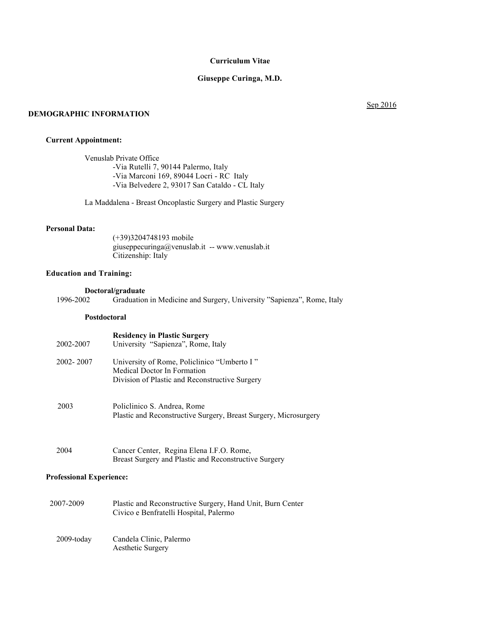## **Curriculum Vitae**

## **Giuseppe Curinga, M.D.**

## **DEMOGRAPHIC INFORMATION**

## Sep 2016

## **Current Appointment:**

Venuslab Private Office -Via Rutelli 7, 90144 Palermo, Italy -Via Marconi 169, 89044 Locri - RC Italy -Via Belvedere 2, 93017 San Cataldo - CL Italy

La Maddalena - Breast Oncoplastic Surgery and Plastic Surgery

# **Personal Data:**

(+39)3204748193 mobile giuseppecuringa@venuslab.it -- www.venuslab.it Citizenship: Italy

## **Education and Training:**

**Doctoral/graduate**<br>1996-2002 Graduation Graduation in Medicine and Surgery, University "Sapienza", Rome, Italy

## **Postdoctoral**

| 2002-2007 | <b>Residency in Plastic Surgery</b><br>University "Sapienza", Rome, Italy                                                    |
|-----------|------------------------------------------------------------------------------------------------------------------------------|
| 2002-2007 | University of Rome, Policlinico "Umberto I"<br>Medical Doctor In Formation<br>Division of Plastic and Reconstructive Surgery |
| 2003      | Policlinico S. Andrea, Rome<br>Plastic and Reconstructive Surgery, Breast Surgery, Microsurgery                              |
| 2004      | Cancer Center, Regina Elena I.F.O. Rome,<br>Breast Surgery and Plastic and Reconstructive Surgery                            |

# **Professional Experience:**

- 2007-2009 Plastic and Reconstructive Surgery, Hand Unit, Burn Center Civico e Benfratelli Hospital, Palermo
	- 2009-today Candela Clinic, Palermo Aesthetic Surgery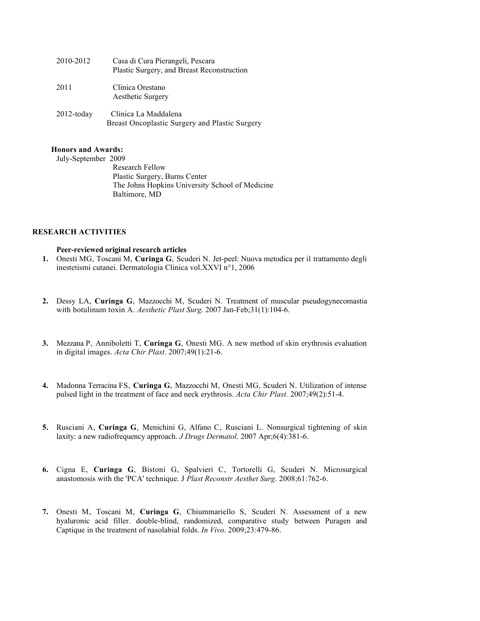| 2010-2012     | Casa di Cura Pierangeli, Pescara<br>Plastic Surgery, and Breast Reconstruction |
|---------------|--------------------------------------------------------------------------------|
| 2011          | Clinica Orestano<br>Aesthetic Surgery                                          |
| $2012$ -today | Clinica La Maddalena<br>Breast Oncoplastic Surgery and Plastic Surgery         |

#### **Honors and Awards:**

July-September 2009

Research Fellow Plastic Surgery, Burns Center The Johns Hopkins University School of Medicine Baltimore, MD

## **RESEARCH ACTIVITIES**

## **Peer-reviewed original research articles**

- **1.** Onesti MG, Toscani M, **Curinga G**, Scuderi N. Jet-peel: Nuova metodica per il trattamento degli inestetismi cutanei. Dermatologia Clinica vol.XXVI n°1, 2006
- **2.** Dessy LA, **Curinga G**, Mazzocchi M, Scuderi N. Treatment of muscular pseudogynecomastia with botulinum toxin A. *Aesthetic Plast Surg*. 2007 Jan-Feb;31(1):104-6.
- **3.** Mezzana P, Anniboletti T, **Curinga G**, Onesti MG. A new method of skin erythrosis evaluation in digital images. *Acta Chir Plast*. 2007;49(1):21-6.
- **4.** Madonna Terracina FS, **Curinga G**, Mazzocchi M, Onesti MG, Scuderi N. Utilization of intense pulsed light in the treatment of face and neck erythrosis. *Acta Chir Plast.* 2007;49(2):51-4.
- **5.** Rusciani A, **Curinga G**, Menichini G, Alfano C, Rusciani L. Nonsurgical tightening of skin laxity: a new radiofrequency approach. *J Drugs Dermatol*. 2007 Apr;6(4):381-6.
- **6.** Cigna E, **Curinga G**, Bistoni G, Spalvieri C, Tortorelli G, Scuderi N. Microsurgical anastomosis with the 'PCA' technique. J *Plast Reconstr Aesthet Surg*. 2008;61:762-6.
- **7.** Onesti M, Toscani M, **Curinga G**, Chiummariello S, Scuderi N. Assessment of a new hyaluronic acid filler. double-blind, randomized, comparative study between Puragen and Captique in the treatment of nasolabial folds. *In Vivo*. 2009;23:479-86.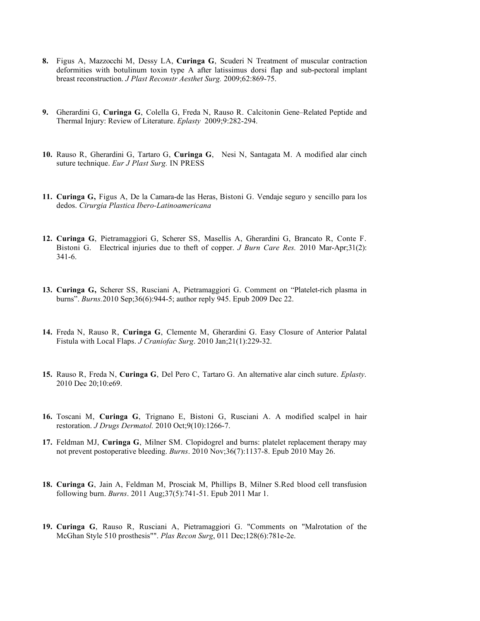- **8.** Figus A, Mazzocchi M, Dessy LA, **Curinga G**, Scuderi N Treatment of muscular contraction deformities with botulinum toxin type A after latissimus dorsi flap and sub-pectoral implant breast reconstruction. *J Plast Reconstr Aesthet Surg.* 2009;62:869-75.
- **9.** Gherardini G, **Curinga G**, Colella G, Freda N, Rauso R. Calcitonin Gene–Related Peptide and Thermal Injury: Review of Literature. *Eplasty* 2009;9:282-294.
- **10.** Rauso R, Gherardini G, Tartaro G, **Curinga G**, Nesi N, Santagata M. A modified alar cinch suture technique. *Eur J Plast Surg.* IN PRESS
- **11. Curinga G,** Figus A, De la Camara-de las Heras, Bistoni G. Vendaje seguro y sencillo para los dedos. *Cirurgia Plastica Ibero-Latinoamericana*
- **12. Curinga G**, Pietramaggiori G, Scherer SS, Masellis A, Gherardini G, Brancato R, Conte F. Bistoni G. Electrical injuries due to theft of copper. *J Burn Care Res.* 2010 Mar-Apr;31(2): 341-6.
- **13. Curinga G,** Scherer SS, Rusciani A, Pietramaggiori G. Comment on "Platelet-rich plasma in burns". *Burns.*2010 Sep;36(6):944-5; author reply 945. Epub 2009 Dec 22.
- **14.** Freda N, Rauso R, **Curinga G**, Clemente M, Gherardini G. Easy Closure of Anterior Palatal Fistula with Local Flaps. *J Craniofac Surg*. 2010 Jan;21(1):229-32.
- **15.** Rauso R, Freda N, **Curinga G**, Del Pero C, Tartaro G. An alternative alar cinch suture. *Eplasty*. 2010 Dec 20;10:e69.
- **16.** Toscani M, **Curinga G**, Trignano E, Bistoni G, Rusciani A. A modified scalpel in hair restoration. *J Drugs Dermatol.* 2010 Oct;9(10):1266-7.
- **17.** Feldman MJ, **Curinga G**, Milner SM. Clopidogrel and burns: platelet replacement therapy may not prevent postoperative bleeding. *Burns*. 2010 Nov;36(7):1137-8. Epub 2010 May 26.
- **18. Curinga G**, Jain A, Feldman M, Prosciak M, Phillips B, Milner S.Red blood cell transfusion following burn. *Burns*. 2011 Aug;37(5):741-51. Epub 2011 Mar 1.
- **19. Curinga G**, Rauso R, Rusciani A, Pietramaggiori G. "Comments on "Malrotation of the McGhan Style 510 prosthesis"". *Plas Recon Surg*, 011 Dec;128(6):781e-2e.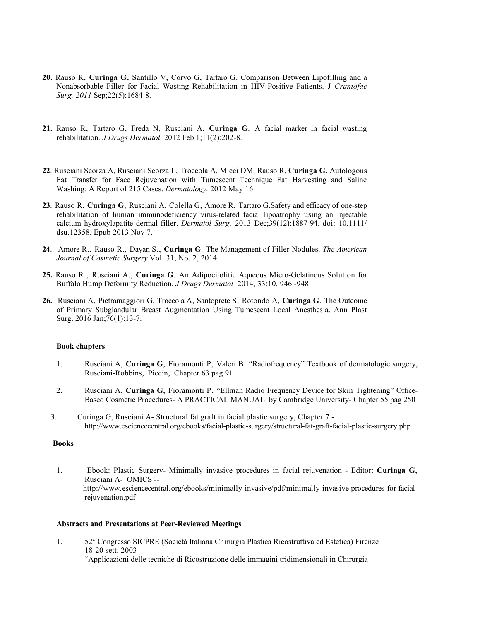- **20.** Rauso R, **Curinga G,** Santillo V, Corvo G, Tartaro G. Comparison Between Lipofilling and a Nonabsorbable Filler for Facial Wasting Rehabilitation in HIV-Positive Patients. J *Craniofac Surg. 2011* Sep;22(5):1684-8.
- **21.** Rauso R, Tartaro G, Freda N, Rusciani A, **Curinga G**. A facial marker in facial wasting rehabilitation. *J Drugs Dermatol.* 2012 Feb 1;11(2):202-8.
- **22**. Rusciani Scorza A, Rusciani Scorza L, Troccola A, Micci DM, Rauso R, **Curinga G.** Autologous Fat Transfer for Face Rejuvenation with Tumescent Technique Fat Harvesting and Saline Washing: A Report of 215 Cases. *Dermatology*. 2012 May 16
- **23**. Rauso R, **Curinga G**, Rusciani A, Colella G, Amore R, Tartaro G.Safety and efficacy of one-step rehabilitation of human immunodeficiency virus-related facial lipoatrophy using an injectable calcium hydroxylapatite dermal filler. *Dermatol Surg*. 2013 Dec;39(12):1887-94. doi: 10.1111/ dsu.12358. Epub 2013 Nov 7.
- **24**. Amore R., Rauso R., Dayan S., **Curinga G**. The Management of Filler Nodules. *The American Journal of Cosmetic Surgery* Vol. 31, No. 2, 2014
- **25.** Rauso R., Rusciani A., **Curinga G**. An Adipocitolitic Aqueous Micro-Gelatinous Solution for Buffalo Hump Deformity Reduction. *J Drugs Dermatol* 2014, 33:10, 946 -948
- **26.** Rusciani A, Pietramaggiori G, Troccola A, Santoprete S, Rotondo A, **Curinga G**. The Outcome of Primary Subglandular Breast Augmentation Using Tumescent Local Anesthesia. Ann Plast Surg. 2016 Jan; 76(1): 13-7.

#### **Book chapters**

- 1. Rusciani A, **Curinga G**, Fioramonti P, Valeri B. "Radiofrequency" Textbook of dermatologic surgery, Rusciani-Robbins, Piccin, Chapter 63 pag 911.
- 2. Rusciani A, **Curinga G**, Fioramonti P. "Ellman Radio Frequency Device for Skin Tightening" Office-Based Cosmetic Procedures- A PRACTICAL MANUAL by Cambridge University- Chapter 55 pag 250
- 3. Curinga G, Rusciani A- Structural fat graft in facial plastic surgery, Chapter 7 <http://www.esciencecentral.org/ebooks/facial-plastic-surgery/structural-fat-graft-facial-plastic-surgery.php>

## **Books**

1. Ebook: Plastic Surgery- Minimally invasive procedures in facial rejuvenation - Editor: **Curinga G**, Rusciani A- OMICS - [http://www.esciencecentral.org/ebooks/minimally-invasive/pdf/minimally-invasive-procedures-for-facial](http://www.esciencecentral.org/ebooks/minimally-invasive/pdf/minimally-invasive-procedures-for-facial-rejuvenation.pdf)[rejuvenation.pdf](http://www.esciencecentral.org/ebooks/minimally-invasive/pdf/minimally-invasive-procedures-for-facial-rejuvenation.pdf)

### **Abstracts and Presentations at Peer-Reviewed Meetings**

1. 52° Congresso SICPRE (Società Italiana Chirurgia Plastica Ricostruttiva ed Estetica) Firenze 18-20 sett. 2003

"Applicazioni delle tecniche di Ricostruzione delle immagini tridimensionali in Chirurgia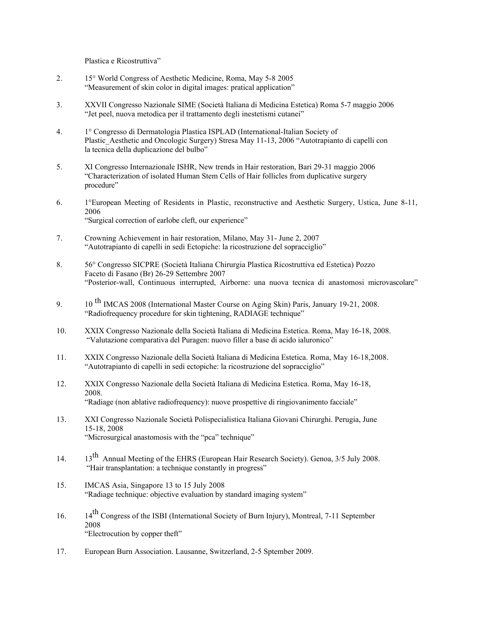Plastica e Ricostruttiva"

- 2. 15° World Congress of Aesthetic Medicine, Roma, May 5-8 2005 "Measurement of skin color in digital images: pratical application"
- 3. XXVII Congresso Nazionale SIME (Società Italiana di Medicina Estetica) Roma 5-7 maggio 2006 "Jet peel, nuova metodica per il trattamento degli inestetismi cutanei"
- 4. 1° Congresso di Dermatologia Plastica ISPLAD (International-Italian Society of Plastic\_Aesthetic and Oncologic Surgery) Stresa May 11-13, 2006 "Autotrapianto di capelli con la tecnica della duplicazione del bulbo"
- 5. XI Congresso Internazionale ISHR, New trends in Hair restoration, Bari 29-31 maggio 2006 "Characterization of isolated Human Stem Cells of Hair follicles from duplicative surgery procedure"
- 6. 1°European Meeting of Residents in Plastic, reconstructive and Aesthetic Surgery, Ustica, June 8-11, 2006 "Surgical correction of earlobe cleft, our experience"
- 7. Crowning Achievement in hair restoration, Milano, May 31- June 2, 2007 "Autotrapianto di capelli in sedi Ectopiche: la ricostruzione del sopracciglio"
- 8. 56° Congresso SICPRE (Società Italiana Chirurgia Plastica Ricostruttiva ed Estetica) Pozzo Faceto di Fasano (Br) 26-29 Settembre 2007 "Posterior-wall, Continuous interrupted, Airborne: una nuova tecnica di anastomosi microvascolare"
- 9. 10<sup>th</sup> IMCAS 2008 (International Master Course on Aging Skin) Paris, January 19-21, 2008. "Radiofrequency procedure for skin tightening, RADIAGE technique"
- 10. XXIX Congresso Nazionale della Società Italiana di Medicina Estetica. Roma, May 16-18, 2008. "Valutazione comparativa del Puragen: nuovo filler a base di acido ialuronico"
- 11. XXIX Congresso Nazionale della Società Italiana di Medicina Estetica. Roma, May 16-18,2008. "Autotrapianto di capelli in sedi ectopiche: la ricostruzione del sopracciglio"
- 12. XXIX Congresso Nazionale della Società Italiana di Medicina Estetica. Roma, May 16-18, 2008. "Radiage (non ablative radiofrequency): nuove prospettive di ringiovanimento facciale"
- 13. XXI Congresso Nazionale Società Polispecialistica Italiana Giovani Chirurghi. Perugia, June 15-18, 2008 "Microsurgical anastomosis with the "pca" technique"
- 14. 13<sup>th</sup> Annual Meeting of the EHRS (European Hair Research Society). Genoa, 3/5 July 2008. "Hair transplantation: a technique constantly in progress"
- 15. IMCAS Asia, Singapore 13 to 15 July 2008 "Radiage technique: objective evaluation by standard imaging system"
- 16. 14<sup>th</sup> Congress of the ISBI (International Society of Burn Injury), Montreal, 7-11 September 2008 "Electrocution by copper theft"
- 17. European Burn Association. Lausanne, Switzerland, 2-5 Sptember 2009.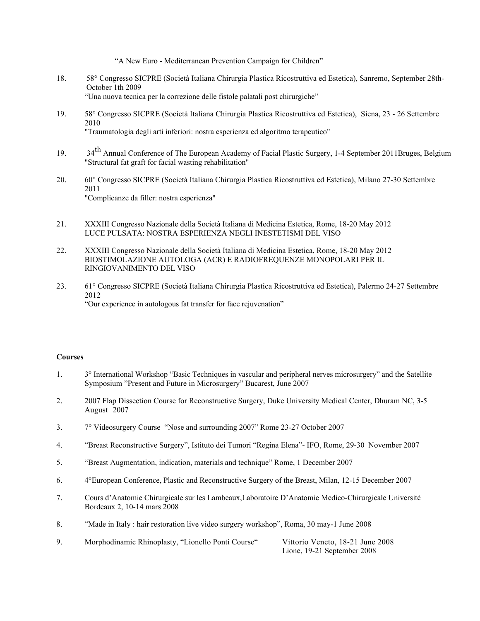"A New Euro - Mediterranean Prevention Campaign for Children"

- 18. 58° Congresso SICPRE (Società Italiana Chirurgia Plastica Ricostruttiva ed Estetica), Sanremo, September 28th-October 1th 2009 "Una nuova tecnica per la correzione delle fistole palatali post chirurgiche"
- 19. 58° Congresso SICPRE (Società Italiana Chirurgia Plastica Ricostruttiva ed Estetica), Siena, 23 26 Settembre 2010 "Traumatologia degli arti inferiori: nostra esperienza ed algoritmo terapeutico"
- 19. 34<sup>th</sup> Annual Conference of The European Academy of Facial Plastic Surgery, 1-4 September 2011Bruges, Belgium "Structural fat graft for facial wasting rehabilitation"
- 20. 60° Congresso SICPRE (Società Italiana Chirurgia Plastica Ricostruttiva ed Estetica), Milano 27-30 Settembre 2011 "Complicanze da filler: nostra esperienza"
- 21. XXXIII Congresso Nazionale della Società Italiana di Medicina Estetica, Rome, 18-20 May 2012 LUCE PULSATA: NOSTRA ESPERIENZA NEGLI INESTETISMI DEL VISO
- 22. XXXIII Congresso Nazionale della Società Italiana di Medicina Estetica, Rome, 18-20 May 2012 BIOSTIMOLAZIONE AUTOLOGA (ACR) E RADIOFREQUENZE MONOPOLARI PER IL RINGIOVANIMENTO DEL VISO
- 23. 61° Congresso SICPRE (Società Italiana Chirurgia Plastica Ricostruttiva ed Estetica), Palermo 24-27 Settembre 2012 "Our experience in autologous fat transfer for face rejuvenation"

# **Courses**

- 1. 3° International Workshop "Basic Techniques in vascular and peripheral nerves microsurgery" and the Satellite Symposium "Present and Future in Microsurgery" Bucarest, June 2007
- 2. 2007 Flap Dissection Course for Reconstructive Surgery, Duke University Medical Center, Dhuram NC, 3-5 August 2007
- 3. 7° Videosurgery Course "Nose and surrounding 2007" Rome 23-27 October 2007
- 4. "Breast Reconstructive Surgery", Istituto dei Tumori "Regina Elena"- IFO, Rome, 29-30 November 2007
- 5. "Breast Augmentation, indication, materials and technique" Rome, 1 December 2007
- 6. 4°European Conference, Plastic and Reconstructive Surgery of the Breast, Milan, 12-15 December 2007
- 7. Cours d'Anatomie Chirurgicale sur les Lambeaux,Laboratoire D'Anatomie Medico-Chirurgicale Universitè Bordeaux 2, 10-14 mars 2008
- 8. "Made in Italy : hair restoration live video surgery workshop", Roma, 30 may-1 June 2008
- 9. Morphodinamic Rhinoplasty, "Lionello Ponti Course" Vittorio Veneto, 18-21 June 2008 Lione, 19-21 September 2008